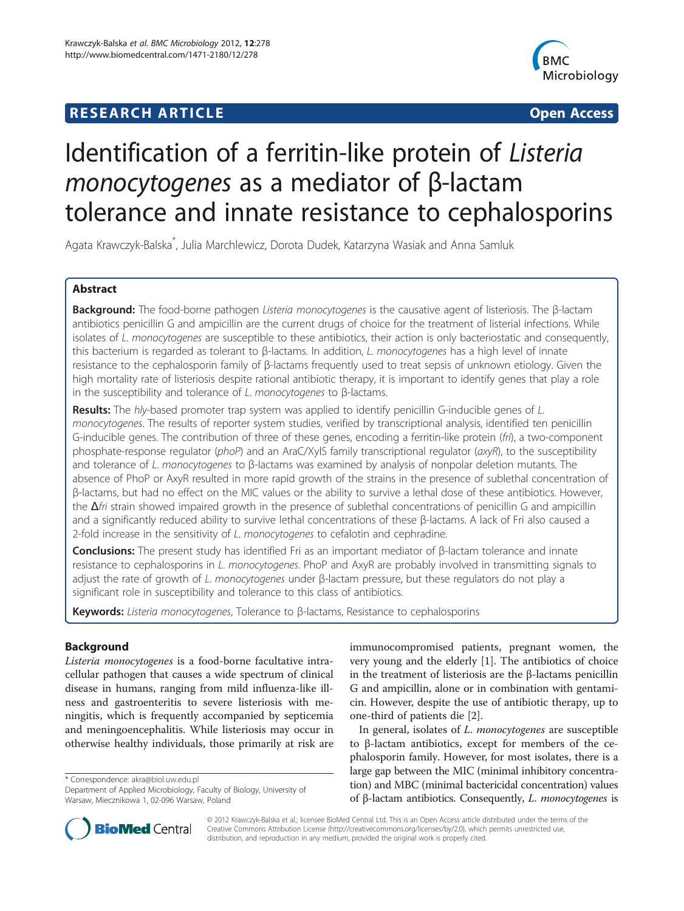# **RESEARCH ARTICLE Example 2014 CONSIDERING CONSIDERING CONSIDERING CONSIDERING CONSIDERING CONSIDERING CONSIDERING CONSIDERING CONSIDERING CONSIDERING CONSIDERING CONSIDERING CONSIDERING CONSIDERING CONSIDERING CONSIDE**



# Identification of a ferritin-like protein of Listeria monocytogenes as a mediator of β-lactam tolerance and innate resistance to cephalosporins

Agata Krawczyk-Balska\* , Julia Marchlewicz, Dorota Dudek, Katarzyna Wasiak and Anna Samluk

# Abstract

Background: The food-borne pathogen Listeria monocytogenes is the causative agent of listeriosis. The β-lactam antibiotics penicillin G and ampicillin are the current drugs of choice for the treatment of listerial infections. While isolates of L. monocytogenes are susceptible to these antibiotics, their action is only bacteriostatic and consequently, this bacterium is regarded as tolerant to β-lactams. In addition, L. monocytogenes has a high level of innate resistance to the cephalosporin family of β-lactams frequently used to treat sepsis of unknown etiology. Given the high mortality rate of listeriosis despite rational antibiotic therapy, it is important to identify genes that play a role in the susceptibility and tolerance of L. monocytogenes to β-lactams.

Results: The hly-based promoter trap system was applied to identify penicillin G-inducible genes of L. monocytogenes. The results of reporter system studies, verified by transcriptional analysis, identified ten penicillin G-inducible genes. The contribution of three of these genes, encoding a ferritin-like protein (fri), a two-component phosphate-response regulator (phoP) and an AraC/XylS family transcriptional regulator (axyR), to the susceptibility and tolerance of L. monocytogenes to β-lactams was examined by analysis of nonpolar deletion mutants. The absence of PhoP or AxyR resulted in more rapid growth of the strains in the presence of sublethal concentration of β-lactams, but had no effect on the MIC values or the ability to survive a lethal dose of these antibiotics. However, the Δfri strain showed impaired growth in the presence of sublethal concentrations of penicillin G and ampicillin and a significantly reduced ability to survive lethal concentrations of these β-lactams. A lack of Fri also caused a 2-fold increase in the sensitivity of L. monocytogenes to cefalotin and cephradine.

Conclusions: The present study has identified Fri as an important mediator of β-lactam tolerance and innate resistance to cephalosporins in L. monocytogenes. PhoP and AxyR are probably involved in transmitting signals to adjust the rate of growth of L. monocytogenes under β-lactam pressure, but these regulators do not play a significant role in susceptibility and tolerance to this class of antibiotics.

Keywords: Listeria monocytogenes, Tolerance to β-lactams, Resistance to cephalosporins

# Background

Listeria monocytogenes is a food-borne facultative intracellular pathogen that causes a wide spectrum of clinical disease in humans, ranging from mild influenza-like illness and gastroenteritis to severe listeriosis with meningitis, which is frequently accompanied by septicemia and meningoencephalitis. While listeriosis may occur in otherwise healthy individuals, those primarily at risk are

\* Correspondence: [akra@biol.uw.edu.pl](mailto:akra@biol.uw.edu.pl)

immunocompromised patients, pregnant women, the very young and the elderly [\[1\]](#page-10-0). The antibiotics of choice in the treatment of listeriosis are the β-lactams penicillin G and ampicillin, alone or in combination with gentamicin. However, despite the use of antibiotic therapy, up to one-third of patients die [\[2](#page-10-0)].

In general, isolates of L. monocytogenes are susceptible to β-lactam antibiotics, except for members of the cephalosporin family. However, for most isolates, there is a large gap between the MIC (minimal inhibitory concentration) and MBC (minimal bactericidal concentration) values of β-lactam antibiotics. Consequently, L. monocytogenes is



© 2012 Krawczyk-Balska et al.; licensee BioMed Central Ltd. This is an Open Access article distributed under the terms of the Creative Commons Attribution License (<http://creativecommons.org/licenses/by/2.0>), which permits unrestricted use, distribution, and reproduction in any medium, provided the original work is properly cited.

Department of Applied Microbiology, Faculty of Biology, University of Warsaw, Miecznikowa 1, 02-096 Warsaw, Poland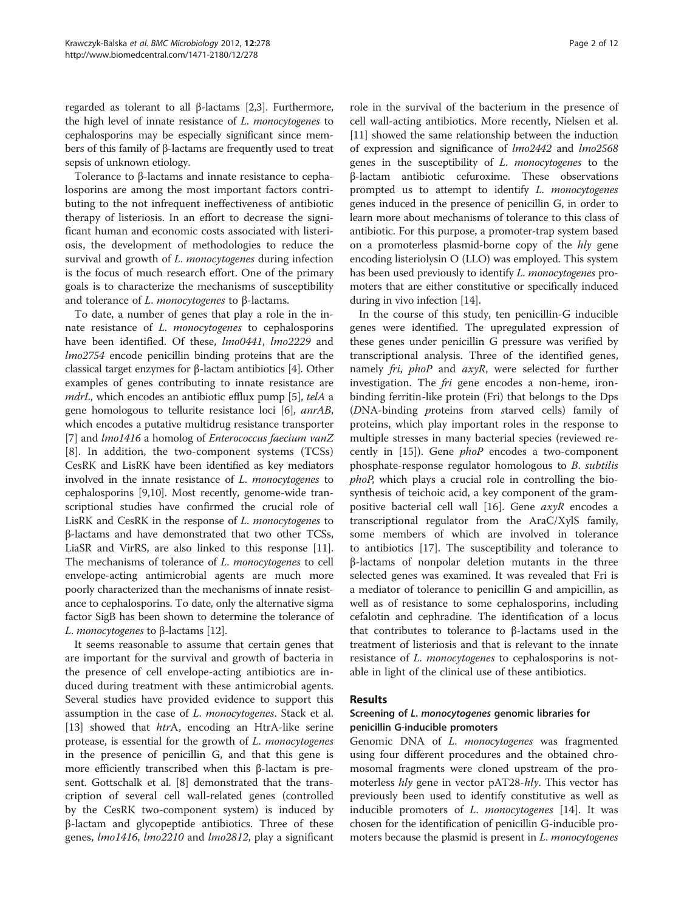regarded as tolerant to all β-lactams [[2,3](#page-10-0)]. Furthermore, the high level of innate resistance of L. monocytogenes to cephalosporins may be especially significant since members of this family of β-lactams are frequently used to treat sepsis of unknown etiology.

Tolerance to β-lactams and innate resistance to cephalosporins are among the most important factors contributing to the not infrequent ineffectiveness of antibiotic therapy of listeriosis. In an effort to decrease the significant human and economic costs associated with listeriosis, the development of methodologies to reduce the survival and growth of *L. monocytogenes* during infection is the focus of much research effort. One of the primary goals is to characterize the mechanisms of susceptibility and tolerance of L. monocytogenes to β-lactams.

To date, a number of genes that play a role in the innate resistance of L. monocytogenes to cephalosporins have been identified. Of these, lmo0441, lmo2229 and lmo2754 encode penicillin binding proteins that are the classical target enzymes for β-lactam antibiotics [[4\]](#page-10-0). Other examples of genes contributing to innate resistance are mdrL, which encodes an antibiotic efflux pump [\[5\]](#page-10-0), telA a gene homologous to tellurite resistance loci [[6](#page-10-0)], anrAB, which encodes a putative multidrug resistance transporter [[7\]](#page-10-0) and lmo1416 a homolog of Enterococcus faecium vanZ [[8\]](#page-10-0). In addition, the two-component systems (TCSs) CesRK and LisRK have been identified as key mediators involved in the innate resistance of L. monocytogenes to cephalosporins [[9](#page-10-0),[10](#page-10-0)]. Most recently, genome-wide transcriptional studies have confirmed the crucial role of LisRK and CesRK in the response of L. monocytogenes to β-lactams and have demonstrated that two other TCSs, LiaSR and VirRS, are also linked to this response [[11](#page-10-0)]. The mechanisms of tolerance of *L. monocytogenes* to cell envelope-acting antimicrobial agents are much more poorly characterized than the mechanisms of innate resistance to cephalosporins. To date, only the alternative sigma factor SigB has been shown to determine the tolerance of L. monocytogenes to β-lactams [\[12\]](#page-10-0).

It seems reasonable to assume that certain genes that are important for the survival and growth of bacteria in the presence of cell envelope-acting antibiotics are induced during treatment with these antimicrobial agents. Several studies have provided evidence to support this assumption in the case of *L. monocytogenes*. Stack et al. [[13\]](#page-10-0) showed that *htr*A, encoding an HtrA-like serine protease, is essential for the growth of L. monocytogenes in the presence of penicillin G, and that this gene is more efficiently transcribed when this β-lactam is present. Gottschalk et al. [\[8](#page-10-0)] demonstrated that the transcription of several cell wall-related genes (controlled by the CesRK two-component system) is induced by β-lactam and glycopeptide antibiotics. Three of these genes, lmo1416, lmo2210 and lmo2812, play a significant

role in the survival of the bacterium in the presence of cell wall-acting antibiotics. More recently, Nielsen et al. [[11](#page-10-0)] showed the same relationship between the induction of expression and significance of lmo2442 and lmo2568 genes in the susceptibility of L. monocytogenes to the β-lactam antibiotic cefuroxime. These observations prompted us to attempt to identify L. *monocytogenes* genes induced in the presence of penicillin G, in order to learn more about mechanisms of tolerance to this class of antibiotic. For this purpose, a promoter-trap system based on a promoterless plasmid-borne copy of the hly gene encoding listeriolysin O (LLO) was employed. This system has been used previously to identify L. monocytogenes promoters that are either constitutive or specifically induced during in vivo infection [\[14\]](#page-10-0).

In the course of this study, ten penicillin-G inducible genes were identified. The upregulated expression of these genes under penicillin G pressure was verified by transcriptional analysis. Three of the identified genes, namely *fri*, *phoP* and *axyR*, were selected for further investigation. The fri gene encodes a non-heme, ironbinding ferritin-like protein (Fri) that belongs to the Dps (DNA-binding proteins from starved cells) family of proteins, which play important roles in the response to multiple stresses in many bacterial species (reviewed recently in [\[15](#page-10-0)]). Gene phoP encodes a two-component phosphate-response regulator homologous to B. subtilis phoP, which plays a crucial role in controlling the biosynthesis of teichoic acid, a key component of the grampositive bacterial cell wall [\[16](#page-10-0)]. Gene axyR encodes a transcriptional regulator from the AraC/XylS family, some members of which are involved in tolerance to antibiotics [\[17](#page-10-0)]. The susceptibility and tolerance to β-lactams of nonpolar deletion mutants in the three selected genes was examined. It was revealed that Fri is a mediator of tolerance to penicillin G and ampicillin, as well as of resistance to some cephalosporins, including cefalotin and cephradine. The identification of a locus that contributes to tolerance to β-lactams used in the treatment of listeriosis and that is relevant to the innate resistance of L. monocytogenes to cephalosporins is notable in light of the clinical use of these antibiotics.

#### Results

#### Screening of L. monocytogenes genomic libraries for penicillin G-inducible promoters

Genomic DNA of L. monocytogenes was fragmented using four different procedures and the obtained chromosomal fragments were cloned upstream of the promoterless hly gene in vector pAT28-hly. This vector has previously been used to identify constitutive as well as inducible promoters of L. monocytogenes [[14\]](#page-10-0). It was chosen for the identification of penicillin G-inducible promoters because the plasmid is present in L. monocytogenes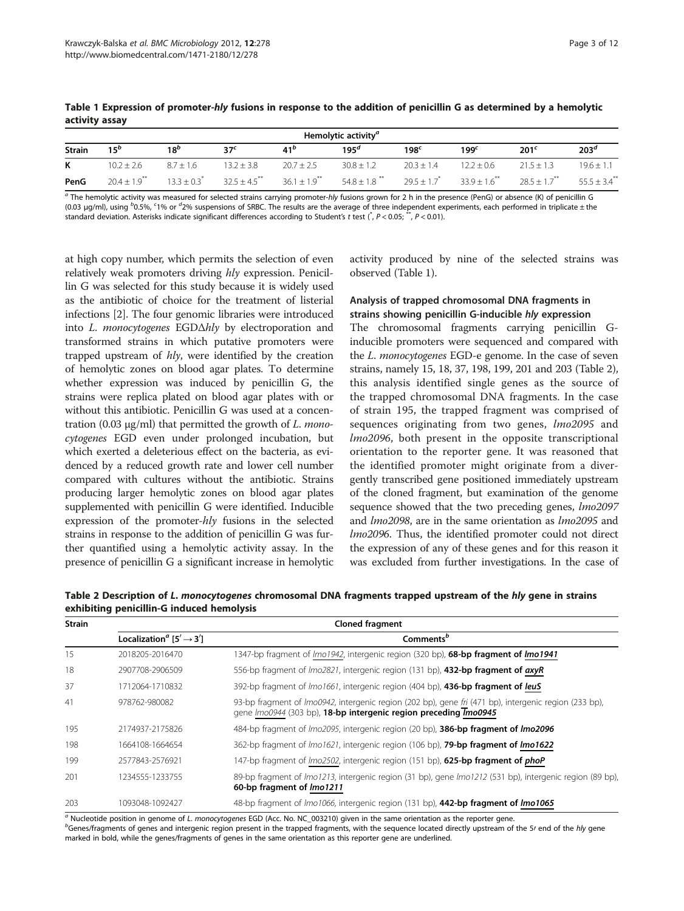| Hemolytic activity <sup><i>a</i></sup> |                              |                             |                 |                              |                              |                  |                              |                              |                   |
|----------------------------------------|------------------------------|-----------------------------|-----------------|------------------------------|------------------------------|------------------|------------------------------|------------------------------|-------------------|
| <b>Strain</b>                          | $15^b$                       | $18^{\circ}$                | 37 <sup>c</sup> | 41°                          | $195^d$                      | 198 <sup>c</sup> | 199 <sup>c</sup>             | 201 <sup>c</sup>             | 203 <sup>d</sup>  |
| K                                      | $10.2 \pm 2.6$               | $8.7 \pm 1.6$               | $13.2 \pm 3.8$  | $20.7 \pm 2.5$               | $30.8 \pm 1.2$               | $20.3 \pm 1.4$   | $12.2 \pm 0.6$               | $21.5 \pm 1.3$               | $19.6 \pm 1.1$    |
| PenG                                   | $20.4 \pm 1.9$ <sup>**</sup> | $13.3 \pm 0.3$ <sup>*</sup> | $32.5 \pm 4.5$  | $36.1 \pm 1.9$ <sup>**</sup> | $54.8 \pm 1.8$ <sup>**</sup> | $29.5 + 1.7$     | $33.9 \pm 1.6$ <sup>**</sup> | $28.5 \pm 1.7$ <sup>**</sup> | $55.5 + 3.4^{**}$ |

Table 1 Expression of promoter-hly fusions in response to the addition of penicillin G as determined by a hemolytic activity assay

 $a$  The hemolytic activity was measured for selected strains carrying promoter-hly fusions grown for 2 h in the presence (PenG) or absence (K) of penicillin G (0.03 μg/ml), using <sup>b</sup>0.5%, <sup>c</sup>1% or <sup>d</sup>2% suspensions of SRBC. The results are the average of three independent experiments, each performed in triplicate ± the standard deviation. Asterisks indicate significant differences according to Student's t test ( $\check{i}$ ,  $P$  < 0.05;  $^{**}$ ,  $P$  < 0.01).

at high copy number, which permits the selection of even relatively weak promoters driving hly expression. Penicillin G was selected for this study because it is widely used as the antibiotic of choice for the treatment of listerial infections [[2](#page-10-0)]. The four genomic libraries were introduced into L. monocytogenes EGDΔhly by electroporation and transformed strains in which putative promoters were trapped upstream of hly, were identified by the creation of hemolytic zones on blood agar plates. To determine whether expression was induced by penicillin G, the strains were replica plated on blood agar plates with or without this antibiotic. Penicillin G was used at a concentration (0.03 μg/ml) that permitted the growth of  $L.$  monocytogenes EGD even under prolonged incubation, but which exerted a deleterious effect on the bacteria, as evidenced by a reduced growth rate and lower cell number compared with cultures without the antibiotic. Strains producing larger hemolytic zones on blood agar plates supplemented with penicillin G were identified. Inducible expression of the promoter-hly fusions in the selected strains in response to the addition of penicillin G was further quantified using a hemolytic activity assay. In the presence of penicillin G a significant increase in hemolytic

activity produced by nine of the selected strains was observed (Table 1).

## Analysis of trapped chromosomal DNA fragments in strains showing penicillin G-inducible hly expression

The chromosomal fragments carrying penicillin Ginducible promoters were sequenced and compared with the L. monocytogenes EGD-e genome. In the case of seven strains, namely 15, 18, 37, 198, 199, 201 and 203 (Table 2), this analysis identified single genes as the source of the trapped chromosomal DNA fragments. In the case of strain 195, the trapped fragment was comprised of sequences originating from two genes, *lmo2095* and lmo2096, both present in the opposite transcriptional orientation to the reporter gene. It was reasoned that the identified promoter might originate from a divergently transcribed gene positioned immediately upstream of the cloned fragment, but examination of the genome sequence showed that the two preceding genes,  $lmo2097$ and lmo2098, are in the same orientation as lmo2095 and lmo2096. Thus, the identified promoter could not direct the expression of any of these genes and for this reason it was excluded from further investigations. In the case of

Table 2 Description of L. monocytogenes chromosomal DNA fragments trapped upstream of the hly gene in strains exhibiting penicillin-G induced hemolysis

| <b>Strain</b> | <b>Cloned fragment</b>                                 |                                                                                                                                                                                                        |  |  |  |
|---------------|--------------------------------------------------------|--------------------------------------------------------------------------------------------------------------------------------------------------------------------------------------------------------|--|--|--|
|               | Localization <sup><i>a</i></sup> [5' $\rightarrow$ 3'] | Comments <sup>b</sup>                                                                                                                                                                                  |  |  |  |
| 15            | 2018205-2016470                                        | 1347-bp fragment of <i>Imo1942</i> , intergenic region (320 bp), <b>68-bp fragment of Imo1941</b>                                                                                                      |  |  |  |
| 18            | 2907708-2906509                                        | 556-bp fragment of <i>lmo2821</i> , intergenic region (131 bp), <b>432-bp fragment of axyR</b>                                                                                                         |  |  |  |
| 37            | 1712064-1710832                                        | 392-bp fragment of <i>lmo1661</i> , intergenic region (404 bp), <b>436-bp fragment of leuS</b>                                                                                                         |  |  |  |
| 41            | 978762-980082                                          | 93-bp fragment of <i>lmo0942</i> , intergenic region (202 bp), gene fri (471 bp), intergenic region (233 bp),<br>gene <i>lmo0944</i> (303 bp), <b>18-bp intergenic region preceding <i>Imo0945</i></b> |  |  |  |
| 195           | 2174937-2175826                                        | 484-bp fragment of <i>Imo2095</i> , intergenic region (20 bp), <b>386-bp fragment of Imo2096</b>                                                                                                       |  |  |  |
| 198           | 1664108-1664654                                        | 362-bp fragment of <i>lmo1621</i> , intergenic region (106 bp), 79-bp fragment of <i>lmo1622</i>                                                                                                       |  |  |  |
| 199           | 2577843-2576921                                        | 147-bp fragment of <i>Imo2502</i> , intergenic region (151 bp), 625-bp fragment of <i>phoP</i>                                                                                                         |  |  |  |
| 201           | 1234555-1233755                                        | 89-bp fragment of Imo1213, intergenic region (31 bp), gene Imo1212 (531 bp), intergenic region (89 bp),<br>60-bp fragment of Imo1211                                                                   |  |  |  |
| 203           | 1093048-1092427                                        | 48-bp fragment of <i>lmo1066</i> , intergenic region (131 bp), <b>442-bp fragment of <i>lmo1065</i></b>                                                                                                |  |  |  |

 $a$  Nucleotide position in genome of L. monocytogenes EGD (Acc. No. NC\_003210) given in the same orientation as the reporter gene.  $^{b}$ Genes/fragments of genes and intergenic region present in the trapped fragments, with the sequence located directly upstream of the 5<sup>1</sup> end of the hly gene marked in bold, while the genes/fragments of genes in the same orientation as this reporter gene are underlined.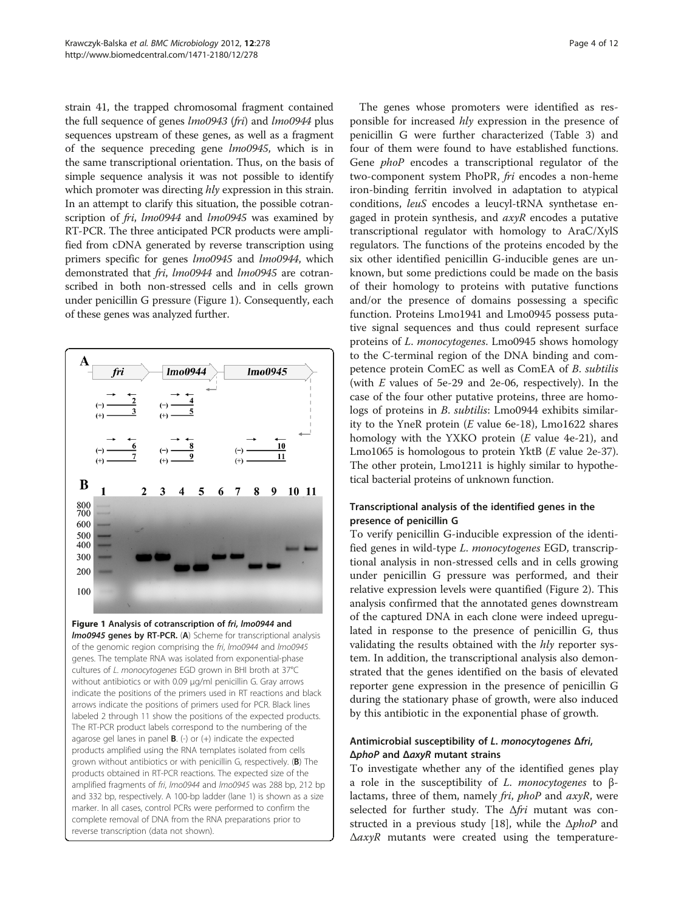strain 41, the trapped chromosomal fragment contained the full sequence of genes lmo0943 (fri) and lmo0944 plus sequences upstream of these genes, as well as a fragment of the sequence preceding gene lmo0945, which is in the same transcriptional orientation. Thus, on the basis of simple sequence analysis it was not possible to identify which promoter was directing *hly* expression in this strain. In an attempt to clarify this situation, the possible cotranscription of fri, lmo0944 and lmo0945 was examined by RT-PCR. The three anticipated PCR products were amplified from cDNA generated by reverse transcription using primers specific for genes lmo0945 and lmo0944, which demonstrated that fri, lmo0944 and lmo0945 are cotranscribed in both non-stressed cells and in cells grown under penicillin G pressure (Figure 1). Consequently, each of these genes was analyzed further.





The genes whose promoters were identified as responsible for increased hly expression in the presence of penicillin G were further characterized (Table [3\)](#page-4-0) and four of them were found to have established functions. Gene phoP encodes a transcriptional regulator of the two-component system PhoPR, fri encodes a non-heme iron-binding ferritin involved in adaptation to atypical conditions, leuS encodes a leucyl-tRNA synthetase engaged in protein synthesis, and  $axyR$  encodes a putative transcriptional regulator with homology to AraC/XylS regulators. The functions of the proteins encoded by the six other identified penicillin G-inducible genes are unknown, but some predictions could be made on the basis of their homology to proteins with putative functions and/or the presence of domains possessing a specific function. Proteins Lmo1941 and Lmo0945 possess putative signal sequences and thus could represent surface proteins of L. monocytogenes. Lmo0945 shows homology to the C-terminal region of the DNA binding and competence protein ComEC as well as ComEA of B. subtilis (with E values of 5e-29 and 2e-06, respectively). In the case of the four other putative proteins, three are homologs of proteins in B. subtilis: Lmo0944 exhibits similarity to the YneR protein  $(E \text{ value } 6e-18)$ , Lmo1622 shares homology with the YXKO protein  $(E$  value 4e-21), and Lmo1065 is homologous to protein YktB (E value 2e-37). The other protein, Lmo1211 is highly similar to hypothetical bacterial proteins of unknown function.

# Transcriptional analysis of the identified genes in the presence of penicillin G

To verify penicillin G-inducible expression of the identified genes in wild-type L. monocytogenes EGD, transcriptional analysis in non-stressed cells and in cells growing under penicillin G pressure was performed, and their relative expression levels were quantified (Figure [2](#page-4-0)). This analysis confirmed that the annotated genes downstream of the captured DNA in each clone were indeed upregulated in response to the presence of penicillin G, thus validating the results obtained with the *hly* reporter system. In addition, the transcriptional analysis also demonstrated that the genes identified on the basis of elevated reporter gene expression in the presence of penicillin G during the stationary phase of growth, were also induced by this antibiotic in the exponential phase of growth.

# Antimicrobial susceptibility of L. monocytogenes Δfri, ΔphoP and ΔaxyR mutant strains

To investigate whether any of the identified genes play a role in the susceptibility of L. monocytogenes to βlactams, three of them, namely  $fri$ ,  $phoP$  and  $axyR$ , were selected for further study. The  $\Delta f$ ri mutant was con-structed in a previous study [\[18](#page-10-0)], while the  $\Delta phoP$  and ΔaxyR mutants were created using the temperature-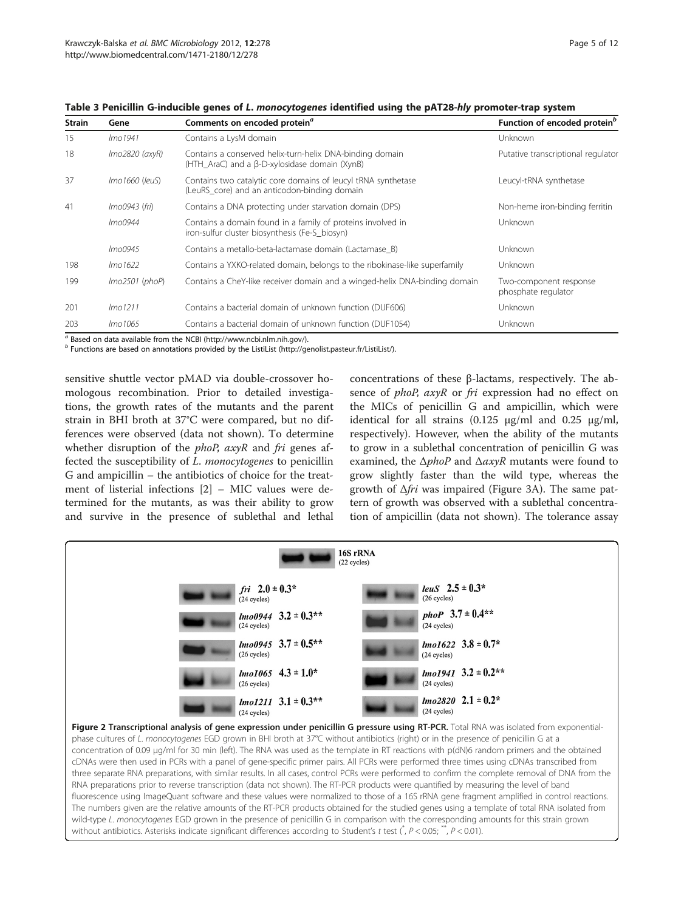| <b>Strain</b> | Gene                 | Comments on encoded protein <sup>a</sup>                                                                                                | Function of encoded protein <sup>b</sup>      |
|---------------|----------------------|-----------------------------------------------------------------------------------------------------------------------------------------|-----------------------------------------------|
| 15            | Imo1941              | Contains a LysM domain                                                                                                                  | Unknown                                       |
| 18            | $Imo2820$ ( $axyR$ ) | Contains a conserved helix-turn-helix DNA-binding domain<br>(HTH AraC) and a B-D-xylosidase domain (XynB)                               | Putative transcriptional regulator            |
| 37            | lmo1660 (leuS)       | Contains two catalytic core domains of leucyl tRNA synthetase<br>Leucyl-tRNA synthetase<br>(LeuRS core) and an anticodon-binding domain |                                               |
| 41            | lmo0943 (fri)        | Contains a DNA protecting under starvation domain (DPS)                                                                                 | Non-heme iron-binding ferritin                |
|               | Im <sub>0944</sub>   | Contains a domain found in a family of proteins involved in<br>iron-sulfur cluster biosynthesis (Fe-S biosyn)                           | Unknown                                       |
|               | lmo0945              | Contains a metallo-beta-lactamase domain (Lactamase_B)                                                                                  | Unknown                                       |
| 198           | Imo1622              | Contains a YXKO-related domain, belongs to the ribokinase-like superfamily                                                              | Unknown                                       |
| 199           | $Imo2501$ ( $phoP$ ) | Contains a CheY-like receiver domain and a winged-helix DNA-binding domain                                                              | Two-component response<br>phosphate regulator |
| 201           | Imo1211              | Contains a bacterial domain of unknown function (DUF606)                                                                                | Unknown                                       |
| 203           | lmo1065              | Contains a bacterial domain of unknown function (DUF1054)                                                                               | Unknown                                       |

<span id="page-4-0"></span>Table 3 Penicillin G-inducible genes of L. monocytogenes identified using the pAT28-hly promoter-trap system

<sup>a</sup> Based on data available from the NCBI [\(http://www.ncbi.nlm.nih.gov/](http://www.ncbi.nlm.nih.gov/)).<br><sup>b</sup> Functions are based on annotations provided by the ListiList ([http://genolist.pasteur.fr/ListiList/\)](http://genolist.pasteur.fr/ListiList/).

sensitive shuttle vector pMAD via double-crossover homologous recombination. Prior to detailed investigations, the growth rates of the mutants and the parent strain in BHI broth at 37°C were compared, but no differences were observed (data not shown). To determine whether disruption of the *phoP*, *axyR* and *fri* genes affected the susceptibility of L. monocytogenes to penicillin G and ampicillin – the antibiotics of choice for the treatment of listerial infections [[2\]](#page-10-0) – MIC values were determined for the mutants, as was their ability to grow and survive in the presence of sublethal and lethal concentrations of these β-lactams, respectively. The absence of *phoP*, axyR or fri expression had no effect on the MICs of penicillin G and ampicillin, which were identical for all strains  $(0.125 \text{ µg/ml}$  and  $0.25 \text{ µg/ml}$ , respectively). However, when the ability of the mutants to grow in a sublethal concentration of penicillin G was examined, the  $\Delta phoP$  and  $\Delta axyR$  mutants were found to grow slightly faster than the wild type, whereas the growth of Δfri was impaired (Figure [3A\)](#page-5-0). The same pattern of growth was observed with a sublethal concentration of ampicillin (data not shown). The tolerance assay



phase cultures of L. monocytogenes EGD grown in BHI broth at 37°C without antibiotics (right) or in the presence of penicillin G at a concentration of 0.09 μg/ml for 30 min (left). The RNA was used as the template in RT reactions with p(dN)6 random primers and the obtained cDNAs were then used in PCRs with a panel of gene-specific primer pairs. All PCRs were performed three times using cDNAs transcribed from three separate RNA preparations, with similar results. In all cases, control PCRs were performed to confirm the complete removal of DNA from the RNA preparations prior to reverse transcription (data not shown). The RT-PCR products were quantified by measuring the level of band fluorescence using ImageQuant software and these values were normalized to those of a 16S rRNA gene fragment amplified in control reactions. The numbers given are the relative amounts of the RT-PCR products obtained for the studied genes using a template of total RNA isolated from wild-type L. monocytogenes EGD grown in the presence of penicillin G in comparison with the corresponding amounts for this strain grown without antibiotics. Asterisks indicate significant differences according to Student's t test (\*,  $P < 0.05$ ; \*\*,  $P < 0.01$ ).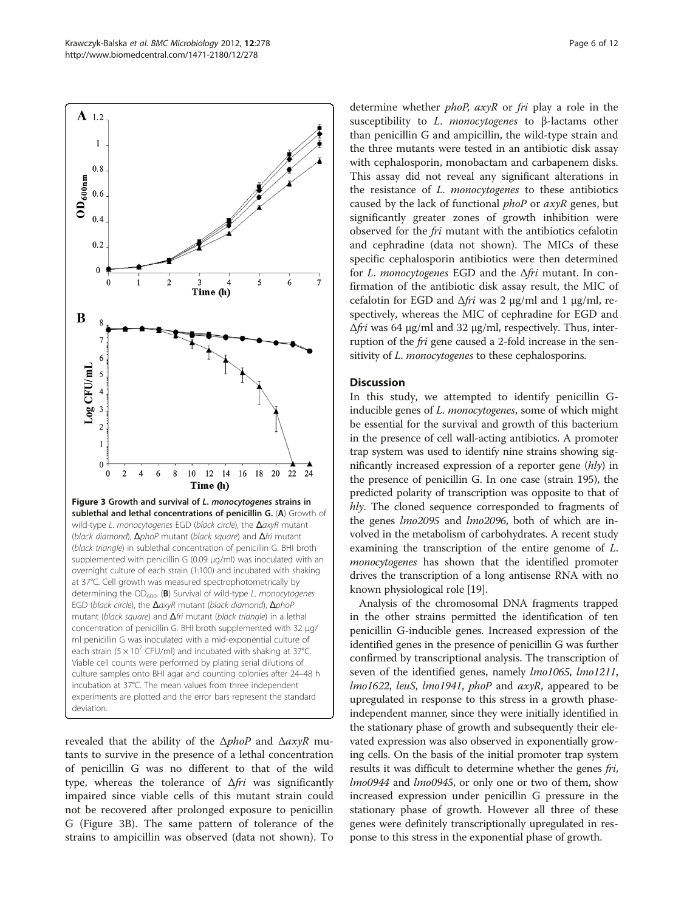revealed that the ability of the ΔphoP and ΔaxyR muexperiments are plotted and the error bars represent the standard deviation.

tants to survive in the presence of a lethal concentration of penicillin G was no different to that of the wild type, whereas the tolerance of  $\Delta f$ *i* was significantly impaired since viable cells of this mutant strain could not be recovered after prolonged exposure to penicillin G (Figure 3B). The same pattern of tolerance of the strains to ampicillin was observed (data not shown). To determine whether phoP, axyR or fri play a role in the susceptibility to L. monocytogenes to β-lactams other than penicillin G and ampicillin, the wild-type strain and the three mutants were tested in an antibiotic disk assay with cephalosporin, monobactam and carbapenem disks. This assay did not reveal any significant alterations in the resistance of L. monocytogenes to these antibiotics caused by the lack of functional *phoP* or *axyR* genes, but significantly greater zones of growth inhibition were observed for the fri mutant with the antibiotics cefalotin and cephradine (data not shown). The MICs of these specific cephalosporin antibiotics were then determined for L. monocytogenes EGD and the Δfri mutant. In confirmation of the antibiotic disk assay result, the MIC of cefalotin for EGD and  $Δfri$  was 2 μg/ml and 1 μg/ml, respectively, whereas the MIC of cephradine for EGD and  $Δ$ *fri* was 64 μg/ml and 32 μg/ml, respectively. Thus, interruption of the fri gene caused a 2-fold increase in the sensitivity of L. monocytogenes to these cephalosporins.

#### **Discussion**

In this study, we attempted to identify penicillin Ginducible genes of *L. monocytogenes*, some of which might be essential for the survival and growth of this bacterium in the presence of cell wall-acting antibiotics. A promoter trap system was used to identify nine strains showing significantly increased expression of a reporter gene (hly) in the presence of penicillin G. In one case (strain 195), the predicted polarity of transcription was opposite to that of hly. The cloned sequence corresponded to fragments of the genes lmo2095 and lmo2096, both of which are involved in the metabolism of carbohydrates. A recent study examining the transcription of the entire genome of L. monocytogenes has shown that the identified promoter drives the transcription of a long antisense RNA with no known physiological role [[19\]](#page-10-0).

Analysis of the chromosomal DNA fragments trapped in the other strains permitted the identification of ten penicillin G-inducible genes. Increased expression of the identified genes in the presence of penicillin G was further confirmed by transcriptional analysis. The transcription of seven of the identified genes, namely *lmo1065*, *lmo1211*, lmo1622, leuS, lmo1941, phoP and axyR, appeared to be upregulated in response to this stress in a growth phaseindependent manner, since they were initially identified in the stationary phase of growth and subsequently their elevated expression was also observed in exponentially growing cells. On the basis of the initial promoter trap system results it was difficult to determine whether the genes fri, lmo0944 and lmo0945, or only one or two of them, show increased expression under penicillin G pressure in the stationary phase of growth. However all three of these genes were definitely transcriptionally upregulated in response to this stress in the exponential phase of growth.



<span id="page-5-0"></span> $\mathbf{A}$  1.2

 $\mathbf{1}$ 

 $0.8$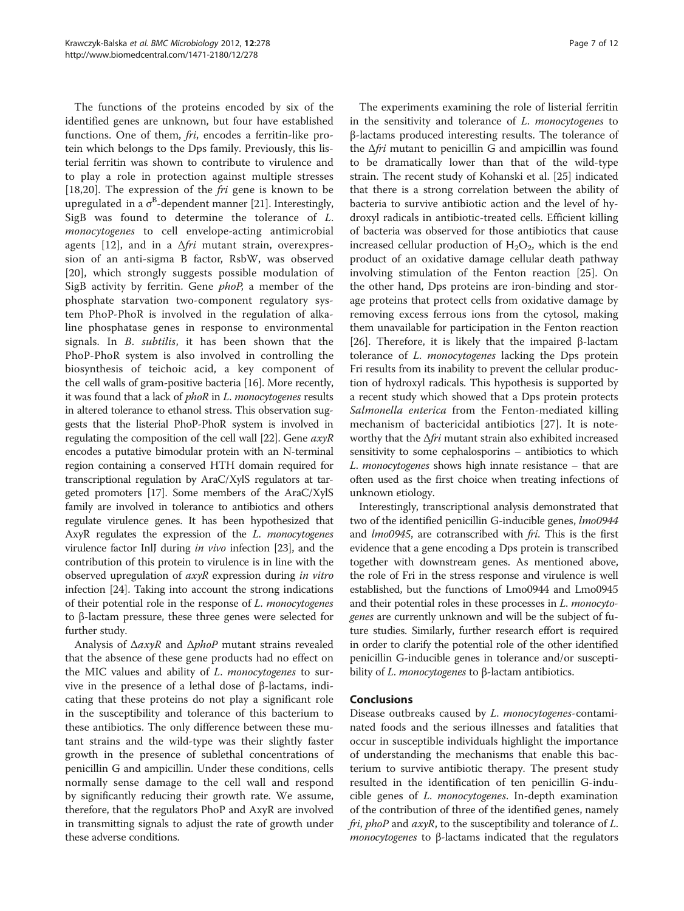The functions of the proteins encoded by six of the identified genes are unknown, but four have established functions. One of them, fri, encodes a ferritin-like protein which belongs to the Dps family. Previously, this listerial ferritin was shown to contribute to virulence and to play a role in protection against multiple stresses [[18,20](#page-10-0)]. The expression of the  $fri$  gene is known to be upregulated in a  $\sigma^{\rm B}$ -dependent manner [\[21\]](#page-10-0). Interestingly, SigB was found to determine the tolerance of L. monocytogenes to cell envelope-acting antimicrobial agents [\[12](#page-10-0)], and in a  $\Delta fri$  mutant strain, overexpression of an anti-sigma B factor, RsbW, was observed [[20\]](#page-10-0), which strongly suggests possible modulation of SigB activity by ferritin. Gene phoP, a member of the phosphate starvation two-component regulatory system PhoP-PhoR is involved in the regulation of alkaline phosphatase genes in response to environmental signals. In *B. subtilis*, it has been shown that the PhoP-PhoR system is also involved in controlling the biosynthesis of teichoic acid, a key component of the cell walls of gram-positive bacteria [\[16](#page-10-0)]. More recently, it was found that a lack of *phoR* in *L. monocytogenes* results in altered tolerance to ethanol stress. This observation suggests that the listerial PhoP-PhoR system is involved in regulating the composition of the cell wall [[22](#page-10-0)]. Gene axyR encodes a putative bimodular protein with an N-terminal region containing a conserved HTH domain required for transcriptional regulation by AraC/XylS regulators at targeted promoters [\[17\]](#page-10-0). Some members of the AraC/XylS family are involved in tolerance to antibiotics and others regulate virulence genes. It has been hypothesized that AxyR regulates the expression of the L. monocytogenes virulence factor InlJ during in vivo infection [[23](#page-10-0)], and the contribution of this protein to virulence is in line with the observed upregulation of axyR expression during in vitro infection [\[24](#page-10-0)]. Taking into account the strong indications of their potential role in the response of L. monocytogenes to β-lactam pressure, these three genes were selected for further study.

Analysis of ΔaxyR and ΔphoP mutant strains revealed that the absence of these gene products had no effect on the MIC values and ability of L. monocytogenes to survive in the presence of a lethal dose of β-lactams, indicating that these proteins do not play a significant role in the susceptibility and tolerance of this bacterium to these antibiotics. The only difference between these mutant strains and the wild-type was their slightly faster growth in the presence of sublethal concentrations of penicillin G and ampicillin. Under these conditions, cells normally sense damage to the cell wall and respond by significantly reducing their growth rate. We assume, therefore, that the regulators PhoP and AxyR are involved in transmitting signals to adjust the rate of growth under these adverse conditions.

The experiments examining the role of listerial ferritin in the sensitivity and tolerance of L. monocytogenes to β-lactams produced interesting results. The tolerance of the  $\Delta f$ ri mutant to penicillin G and ampicillin was found to be dramatically lower than that of the wild-type strain. The recent study of Kohanski et al. [\[25\]](#page-10-0) indicated that there is a strong correlation between the ability of bacteria to survive antibiotic action and the level of hydroxyl radicals in antibiotic-treated cells. Efficient killing of bacteria was observed for those antibiotics that cause increased cellular production of  $H_2O_2$ , which is the end product of an oxidative damage cellular death pathway involving stimulation of the Fenton reaction [\[25](#page-10-0)]. On the other hand, Dps proteins are iron-binding and storage proteins that protect cells from oxidative damage by removing excess ferrous ions from the cytosol, making them unavailable for participation in the Fenton reaction [[26\]](#page-10-0). Therefore, it is likely that the impaired β-lactam tolerance of L. monocytogenes lacking the Dps protein Fri results from its inability to prevent the cellular production of hydroxyl radicals. This hypothesis is supported by a recent study which showed that a Dps protein protects Salmonella enterica from the Fenton-mediated killing mechanism of bactericidal antibiotics [[27\]](#page-10-0). It is noteworthy that the Δfri mutant strain also exhibited increased sensitivity to some cephalosporins – antibiotics to which L. monocytogenes shows high innate resistance – that are often used as the first choice when treating infections of unknown etiology.

Interestingly, transcriptional analysis demonstrated that two of the identified penicillin G-inducible genes, lmo0944 and *lmo0945*, are cotranscribed with *fri*. This is the first evidence that a gene encoding a Dps protein is transcribed together with downstream genes. As mentioned above, the role of Fri in the stress response and virulence is well established, but the functions of Lmo0944 and Lmo0945 and their potential roles in these processes in L. *monocyto*genes are currently unknown and will be the subject of future studies. Similarly, further research effort is required in order to clarify the potential role of the other identified penicillin G-inducible genes in tolerance and/or susceptibility of L. *monocytogenes* to β-lactam antibiotics.

#### Conclusions

Disease outbreaks caused by *L. monocytogenes-contami*nated foods and the serious illnesses and fatalities that occur in susceptible individuals highlight the importance of understanding the mechanisms that enable this bacterium to survive antibiotic therapy. The present study resulted in the identification of ten penicillin G-inducible genes of L. monocytogenes. In-depth examination of the contribution of three of the identified genes, namely *fri, phoP* and  $axyR$ , to the susceptibility and tolerance of L. monocytogenes to β-lactams indicated that the regulators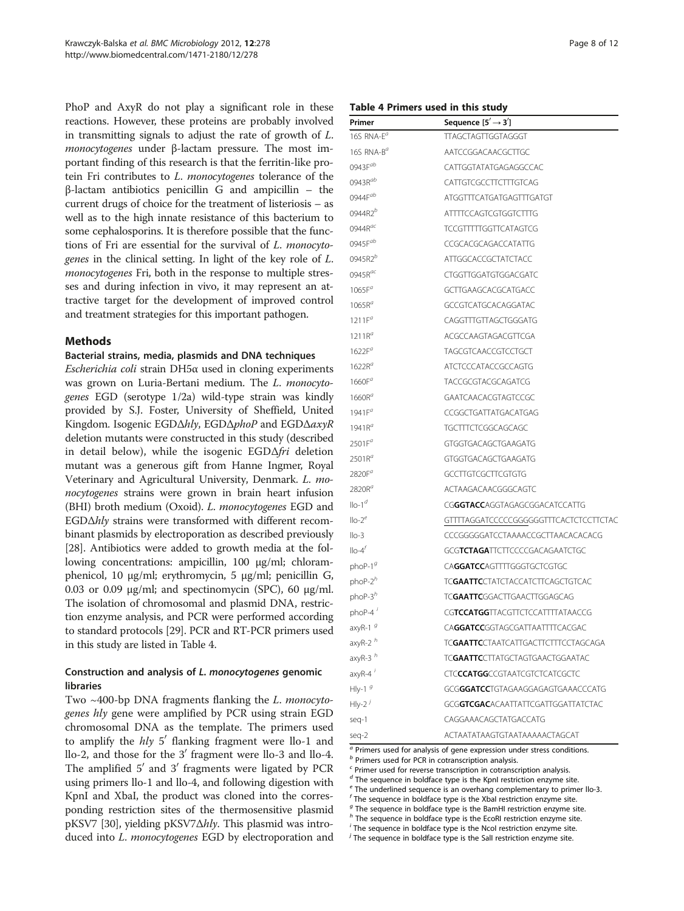<span id="page-7-0"></span>PhoP and AxyR do not play a significant role in these reactions. However, these proteins are probably involved in transmitting signals to adjust the rate of growth of L. monocytogenes under β-lactam pressure. The most important finding of this research is that the ferritin-like protein Fri contributes to L. monocytogenes tolerance of the β-lactam antibiotics penicillin G and ampicillin – the current drugs of choice for the treatment of listeriosis – as well as to the high innate resistance of this bacterium to some cephalosporins. It is therefore possible that the functions of Fri are essential for the survival of L. monocytogenes in the clinical setting. In light of the key role of L. monocytogenes Fri, both in the response to multiple stresses and during infection in vivo, it may represent an attractive target for the development of improved control and treatment strategies for this important pathogen.

#### **Mathods**

#### Bacterial strains, media, plasmids and DNA techniques

Escherichia coli strain DH5α used in cloning experiments was grown on Luria-Bertani medium. The L. monocytogenes EGD (serotype 1/2a) wild-type strain was kindly provided by S.J. Foster, University of Sheffield, United Kingdom. Isogenic EGDΔhly, EGDΔphoP and EGDΔaxyR deletion mutants were constructed in this study (described in detail below), while the isogenic  $EGD\Delta fri$  deletion mutant was a generous gift from Hanne Ingmer, Royal Veterinary and Agricultural University, Denmark. L. monocytogenes strains were grown in brain heart infusion (BHI) broth medium (Oxoid). L. monocytogenes EGD and EGDΔhly strains were transformed with different recombinant plasmids by electroporation as described previously [[28](#page-11-0)]. Antibiotics were added to growth media at the following concentrations: ampicillin, 100 μg/ml; chloramphenicol, 10 μg/ml; erythromycin, 5 μg/ml; penicillin G, 0.03 or 0.09 μg/ml; and spectinomycin (SPC), 60 μg/ml. The isolation of chromosomal and plasmid DNA, restriction enzyme analysis, and PCR were performed according to standard protocols [[29](#page-11-0)]. PCR and RT-PCR primers used in this study are listed in Table 4.

#### Construction and analysis of L. monocytogenes genomic libraries

Two ~400-bp DNA fragments flanking the L. *monocyto*genes hly gene were amplified by PCR using strain EGD chromosomal DNA as the template. The primers used to amplify the  $hly 5'$  flanking fragment were llo-1 and llo-2, and those for the  $3'$  fragment were llo-3 and llo-4. The amplified  $5'$  and  $3'$  fragments were ligated by PCR using primers llo-1 and llo-4, and following digestion with KpnI and XbaI, the product was cloned into the corresponding restriction sites of the thermosensitive plasmid pKSV7 [[30](#page-11-0)], yielding pKSV7Δhly. This plasmid was introduced into L. monocytogenes EGD by electroporation and

Table 4 Primers used in this study

| Primer                | Sequence $[5' \rightarrow 3']$               |
|-----------------------|----------------------------------------------|
| 16S RNA- $F^a$        | TTAGCTAGTTGGTAGGGT                           |
| 16S RNA- $B^a$        | AATCCGGACAACGCTTGC                           |
| 0943Fab               | CATTGGTATATGAGAGGCCAC                        |
| $0943R^{ab}$          | CATTGTCGCCTTCTTTGTCAG                        |
| 0944 $F^{ab}$         | ATGGTTTCATGATGAGTTTGATGT                     |
| 0944R2 <sup>b</sup>   | ATTTTCCAGTCGTGGTCTTTG                        |
| 0944Rac               | TCCGTTTTTGGTTCATAGTCG                        |
| 0945F <sup>ab</sup>   | CCGCACGCAGACCATATTG                          |
| 0945R2 <sup>b</sup>   | <b>ATTGGCACCGCTATCTACC</b>                   |
| 0945Rac               | CTGGTTGGATGTGGACGATC                         |
| $1065F^a$             | <b>GCTTGAAGCACGCATGACC</b>                   |
| $1065R^a$             | GCCGTCATGCACAGGATAC                          |
| $1211F^a$             | CAGGTTTGTTAGCTGGGATG                         |
| 1211R <sup>a</sup>    | ACGCCAAGTAGACGTTCGA                          |
| $1622F^a$             | TAGCGTCAACCGTCCTGCT                          |
| $1622R^a$             | ATCTCCCATACCGCCAGTG                          |
| $1660F^a$             | TACCGCGTACGCAGATCG                           |
| $1660R^a$             | <b>GAATCAACACGTAGTCCGC</b>                   |
| $1941F^a$             | CCGGCTGATTATGACATGAG                         |
| $1941R^a$             | TGCTTTCTCGGCAGCAGC                           |
| 2501F <sup>a</sup>    | GTGGTGACAGCTGAAGATG                          |
| 2501R <sup>a</sup>    | GTGGTGACAGCTGAAGATG                          |
| $2820F^a$             | GCCTTGTCGCTTCGTGTG                           |
| 2820R <sup>a</sup>    | ACTAAGACAACGGGCAGTC                          |
| $l$ lo-1 <sup>d</sup> | CGGGTACCAGGTAGAGCGGACATCCATTG                |
| $I$ lo-2 $e$          | GTTTTAGGATCCCCCGGGGGGTTTCACTCTCCTTCTAC       |
| $I$ lo-3              | CCCGGGGGATCCTAAAACCGCTTAACACACACG            |
| $I$ lo-4 $\ell$       | GCGTCTAGATTCTTCCCCGACAGAATCTGC               |
| phoP-19               | CA <b>GGATCC</b> AGTTTTGGGTGCTCGTGC          |
| phoP-2 <sup>h</sup>   | <b>TCGAATTCCTATCTACCATCTTCAGCTGTCAC</b>      |
| phoP-3 <sup>h</sup>   | <b>TCGAATTC</b> GGACTTGAACTTGGAGCAG          |
| phoP-4 <sup>i</sup>   | CGTCCATGGTTACGTTCTCCATTTTATAACCG             |
| axyR-1 $9$            | CAGGATCCGGTAGCGATTAATTTTCACGAC               |
| axyR-2 $^h$           | TC <b>GAATTC</b> CTAATCATTGACTTCTTTCCTAGCAGA |
| axyR-3 $^h$           | TCGAATTCCTTATGCTAGTGAACTGGAATAC              |
| axyR-4 <sup>i</sup>   | CTCCCATGGCCGTAATCGTCTCATCGCTC                |
| $Hly-1$ <sup>g</sup>  | GCG <b>GGATCC</b> TGTAGAAGGAGAGTGAAACCCATG   |
| $Hly-2$               | GCG <b>GTCGAC</b> ACAATTATTCGATTGGATTATCTAC  |
| seq-1                 | CAGGAAACAGCTATGACCATG                        |
| seq-2                 | ACTAATATAAGTGTAATAAAAACTAGCAT                |

 $a$  Primers used for analysis of gene expression under stress conditions.  $<sup>b</sup>$  Primers used for PCR in cotranscription analysis.</sup>

 $\epsilon$  Primer used for reverse transcription in cotranscription analysis.

 $e$ <sup>e</sup> The underlined sequence is an overhang complementary to primer llo-3.

 $f$  The sequence in boldface type is the XbaI restriction enzyme site.

 $<sup>g</sup>$  The sequence in boldface type is the BamHI restriction enzyme site.</sup>

 $^h$  The sequence in boldface type is the EcoRI restriction enzyme site.  $i$  The sequence in boldface type is the Ncol restriction enzyme site.

 $j$  The sequence in boldface type is the Sall restriction enzyme site.

 $d$  The sequence in boldface type is the KpnI restriction enzyme site.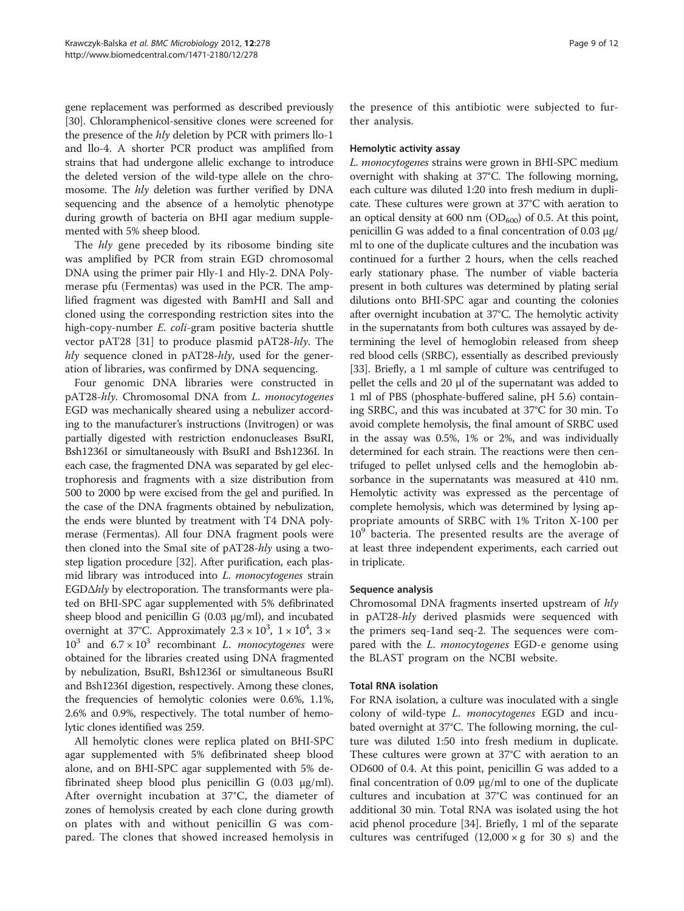gene replacement was performed as described previously [[30](#page-11-0)]. Chloramphenicol-sensitive clones were screened for the presence of the hly deletion by PCR with primers llo-1 and llo-4. A shorter PCR product was amplified from strains that had undergone allelic exchange to introduce the deleted version of the wild-type allele on the chromosome. The *hly* deletion was further verified by DNA sequencing and the absence of a hemolytic phenotype during growth of bacteria on BHI agar medium supplemented with 5% sheep blood.

The *hly* gene preceded by its ribosome binding site was amplified by PCR from strain EGD chromosomal DNA using the primer pair Hly-1 and Hly-2. DNA Polymerase pfu (Fermentas) was used in the PCR. The amplified fragment was digested with BamHI and SalI and cloned using the corresponding restriction sites into the high-copy-number E. coli-gram positive bacteria shuttle vector pAT28 [\[31](#page-11-0)] to produce plasmid pAT28-hly. The hly sequence cloned in pAT28-hly, used for the generation of libraries, was confirmed by DNA sequencing.

Four genomic DNA libraries were constructed in pAT28-hly. Chromosomal DNA from L. monocytogenes EGD was mechanically sheared using a nebulizer according to the manufacturer's instructions (Invitrogen) or was partially digested with restriction endonucleases BsuRI, Bsh1236I or simultaneously with BsuRI and Bsh1236I. In each case, the fragmented DNA was separated by gel electrophoresis and fragments with a size distribution from 500 to 2000 bp were excised from the gel and purified. In the case of the DNA fragments obtained by nebulization, the ends were blunted by treatment with T4 DNA polymerase (Fermentas). All four DNA fragment pools were then cloned into the SmaI site of pAT28-hly using a twostep ligation procedure [\[32\]](#page-11-0). After purification, each plasmid library was introduced into L. monocytogenes strain EGD $\Delta h l y$  by electroporation. The transformants were plated on BHI-SPC agar supplemented with 5% defibrinated sheep blood and penicillin G (0.03 μg/ml), and incubated overnight at 37°C. Approximately  $2.3 \times 10^3$ ,  $1 \times 10^4$ ,  $3 \times$  $10^3$  and  $6.7 \times 10^3$  recombinant *L. monocytogenes* were obtained for the libraries created using DNA fragmented by nebulization, BsuRI, Bsh1236I or simultaneous BsuRI and Bsh1236I digestion, respectively. Among these clones, the frequencies of hemolytic colonies were 0.6%, 1.1%, 2.6% and 0.9%, respectively. The total number of hemolytic clones identified was 259.

All hemolytic clones were replica plated on BHI-SPC agar supplemented with 5% defibrinated sheep blood alone, and on BHI-SPC agar supplemented with 5% defibrinated sheep blood plus penicillin G  $(0.03 \text{ µg/ml})$ . After overnight incubation at 37°C, the diameter of zones of hemolysis created by each clone during growth on plates with and without penicillin G was compared. The clones that showed increased hemolysis in

the presence of this antibiotic were subjected to further analysis.

#### Hemolytic activity assay

L. monocytogenes strains were grown in BHI-SPC medium overnight with shaking at 37°C. The following morning, each culture was diluted 1:20 into fresh medium in duplicate. These cultures were grown at 37°C with aeration to an optical density at 600 nm  $OD_{600}$  of 0.5. At this point, penicillin G was added to a final concentration of 0.03 μg/ ml to one of the duplicate cultures and the incubation was continued for a further 2 hours, when the cells reached early stationary phase. The number of viable bacteria present in both cultures was determined by plating serial dilutions onto BHI-SPC agar and counting the colonies after overnight incubation at 37°C. The hemolytic activity in the supernatants from both cultures was assayed by determining the level of hemoglobin released from sheep red blood cells (SRBC), essentially as described previously [[33](#page-11-0)]. Briefly, a 1 ml sample of culture was centrifuged to pellet the cells and 20 μl of the supernatant was added to 1 ml of PBS (phosphate-buffered saline, pH 5.6) containing SRBC, and this was incubated at 37°C for 30 min. To avoid complete hemolysis, the final amount of SRBC used in the assay was 0.5%, 1% or 2%, and was individually determined for each strain. The reactions were then centrifuged to pellet unlysed cells and the hemoglobin absorbance in the supernatants was measured at 410 nm. Hemolytic activity was expressed as the percentage of complete hemolysis, which was determined by lysing appropriate amounts of SRBC with 1% Triton X-100 per  $10<sup>9</sup>$  bacteria. The presented results are the average of at least three independent experiments, each carried out in triplicate.

#### Sequence analysis

Chromosomal DNA fragments inserted upstream of hly in pAT28-hly derived plasmids were sequenced with the primers seq-1and seq-2. The sequences were compared with the *L. monocytogenes* EGD-e genome using the BLAST program on the NCBI website.

#### Total RNA isolation

For RNA isolation, a culture was inoculated with a single colony of wild-type *L. monocytogenes* EGD and incubated overnight at 37°C. The following morning, the culture was diluted 1:50 into fresh medium in duplicate. These cultures were grown at 37°C with aeration to an OD600 of 0.4. At this point, penicillin G was added to a final concentration of 0.09 μg/ml to one of the duplicate cultures and incubation at 37°C was continued for an additional 30 min. Total RNA was isolated using the hot acid phenol procedure [\[34](#page-11-0)]. Briefly, 1 ml of the separate cultures was centrifuged  $(12,000 \times g$  for 30 s) and the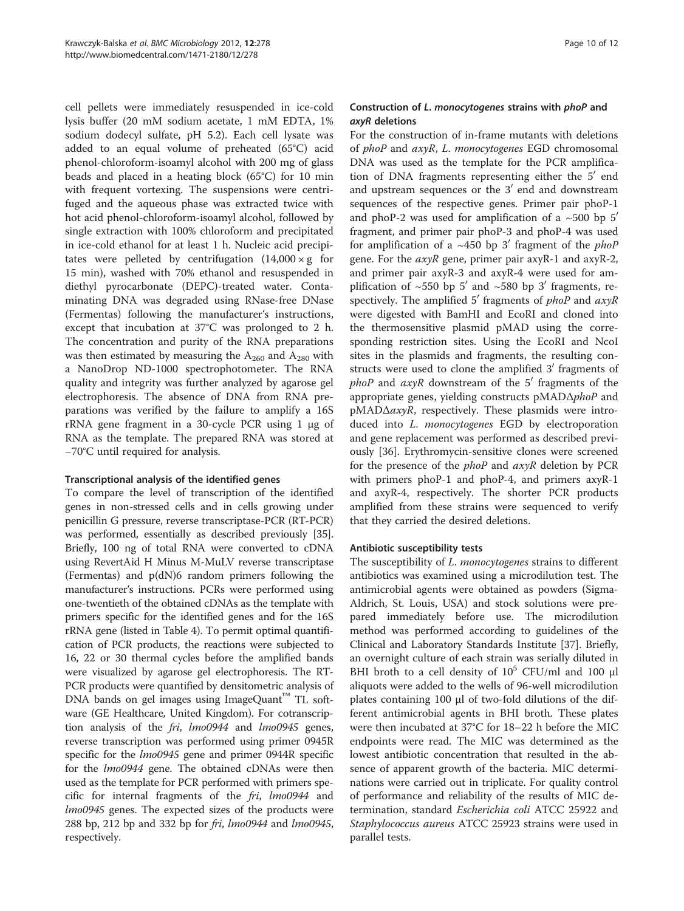cell pellets were immediately resuspended in ice-cold lysis buffer (20 mM sodium acetate, 1 mM EDTA, 1% sodium dodecyl sulfate, pH 5.2). Each cell lysate was added to an equal volume of preheated (65°C) acid phenol-chloroform-isoamyl alcohol with 200 mg of glass beads and placed in a heating block (65°C) for 10 min with frequent vortexing. The suspensions were centrifuged and the aqueous phase was extracted twice with hot acid phenol-chloroform-isoamyl alcohol, followed by single extraction with 100% chloroform and precipitated in ice-cold ethanol for at least 1 h. Nucleic acid precipitates were pelleted by centrifugation  $(14,000 \times g)$  for 15 min), washed with 70% ethanol and resuspended in diethyl pyrocarbonate (DEPC)-treated water. Contaminating DNA was degraded using RNase-free DNase (Fermentas) following the manufacturer's instructions, except that incubation at 37°C was prolonged to 2 h. The concentration and purity of the RNA preparations was then estimated by measuring the  $A_{260}$  and  $A_{280}$  with a NanoDrop ND-1000 spectrophotometer. The RNA quality and integrity was further analyzed by agarose gel electrophoresis. The absence of DNA from RNA preparations was verified by the failure to amplify a 16S rRNA gene fragment in a 30-cycle PCR using 1 μg of RNA as the template. The prepared RNA was stored at −70°C until required for analysis.

#### Transcriptional analysis of the identified genes

To compare the level of transcription of the identified genes in non-stressed cells and in cells growing under penicillin G pressure, reverse transcriptase-PCR (RT-PCR) was performed, essentially as described previously [[35](#page-11-0)]. Briefly, 100 ng of total RNA were converted to cDNA using RevertAid H Minus M-MuLV reverse transcriptase (Fermentas) and p(dN)6 random primers following the manufacturer's instructions. PCRs were performed using one-twentieth of the obtained cDNAs as the template with primers specific for the identified genes and for the 16S rRNA gene (listed in Table [4](#page-7-0)). To permit optimal quantification of PCR products, the reactions were subjected to 16, 22 or 30 thermal cycles before the amplified bands were visualized by agarose gel electrophoresis. The RT-PCR products were quantified by densitometric analysis of DNA bands on gel images using ImageQuant<sup>™</sup> TL software (GE Healthcare, United Kingdom). For cotranscription analysis of the *fri*, *lmo0944* and *lmo0945* genes, reverse transcription was performed using primer 0945R specific for the *lmo0945* gene and primer 0944R specific for the lmo0944 gene. The obtained cDNAs were then used as the template for PCR performed with primers specific for internal fragments of the fri, lmo0944 and lmo0945 genes. The expected sizes of the products were 288 bp, 212 bp and 332 bp for fri, lmo0944 and lmo0945, respectively.

# Construction of L. monocytogenes strains with phoP and axyR deletions

For the construction of in-frame mutants with deletions of phoP and axyR, L. monocytogenes EGD chromosomal DNA was used as the template for the PCR amplification of DNA fragments representing either the  $5'$  end and upstream sequences or the  $3'$  end and downstream sequences of the respective genes. Primer pair phoP-1 and phoP-2 was used for amplification of a  $\sim$  500 bp 5<sup>'</sup> fragment, and primer pair phoP-3 and phoP-4 was used for amplification of a  $\sim$ 450 bp 3' fragment of the *phoP* gene. For the  $axyR$  gene, primer pair  $axyR-1$  and  $axyR-2$ , and primer pair axyR-3 and axyR-4 were used for amplification of  $\sim$ 550 bp 5' and  $\sim$ 580 bp 3' fragments, respectively. The amplified 5' fragments of  $phoP$  and  $axyR$ were digested with BamHI and EcoRI and cloned into the thermosensitive plasmid pMAD using the corresponding restriction sites. Using the EcoRI and NcoI sites in the plasmids and fragments, the resulting constructs were used to clone the amplified  $3'$  fragments of  $phoP$  and  $axyR$  downstream of the 5' fragments of the appropriate genes, yielding constructs pMADΔphoP and pMADΔaxyR, respectively. These plasmids were introduced into L. monocytogenes EGD by electroporation and gene replacement was performed as described previously [[36\]](#page-11-0). Erythromycin-sensitive clones were screened for the presence of the phoP and axyR deletion by PCR with primers phoP-1 and phoP-4, and primers axyR-1 and axyR-4, respectively. The shorter PCR products amplified from these strains were sequenced to verify that they carried the desired deletions.

#### Antibiotic susceptibility tests

The susceptibility of *L. monocytogenes* strains to different antibiotics was examined using a microdilution test. The antimicrobial agents were obtained as powders (Sigma-Aldrich, St. Louis, USA) and stock solutions were prepared immediately before use. The microdilution method was performed according to guidelines of the Clinical and Laboratory Standards Institute [\[37](#page-11-0)]. Briefly, an overnight culture of each strain was serially diluted in BHI broth to a cell density of  $10^5$  CFU/ml and 100 μl aliquots were added to the wells of 96-well microdilution plates containing 100 μl of two-fold dilutions of the different antimicrobial agents in BHI broth. These plates were then incubated at 37°C for 18–22 h before the MIC endpoints were read. The MIC was determined as the lowest antibiotic concentration that resulted in the absence of apparent growth of the bacteria. MIC determinations were carried out in triplicate. For quality control of performance and reliability of the results of MIC determination, standard Escherichia coli ATCC 25922 and Staphylococcus aureus ATCC 25923 strains were used in parallel tests.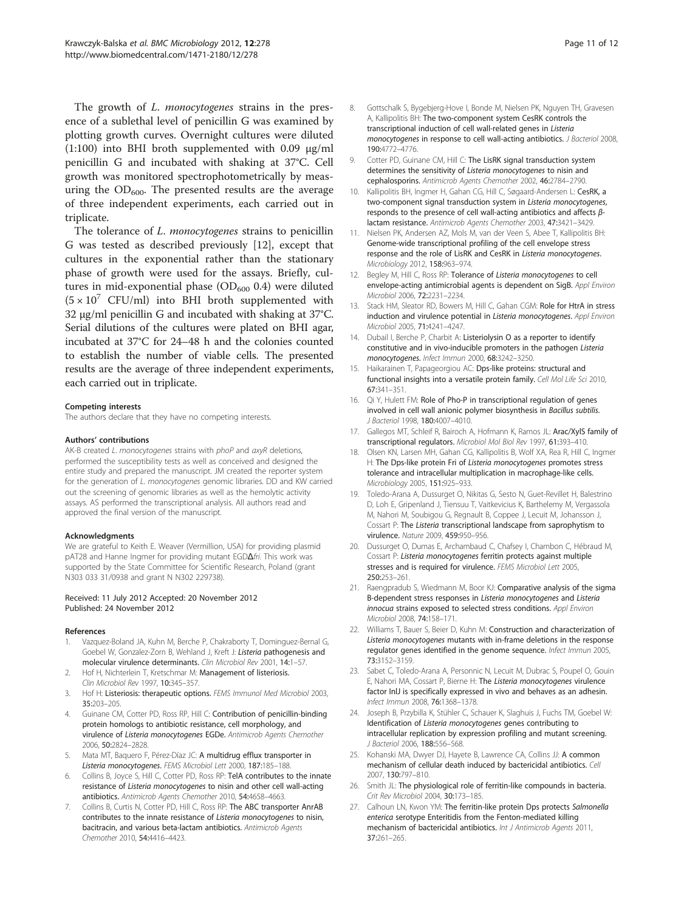<span id="page-10-0"></span>The growth of *L. monocytogenes* strains in the presence of a sublethal level of penicillin G was examined by plotting growth curves. Overnight cultures were diluted (1:100) into BHI broth supplemented with 0.09 μg/ml penicillin G and incubated with shaking at 37°C. Cell growth was monitored spectrophotometrically by measuring the  $OD_{600}$ . The presented results are the average of three independent experiments, each carried out in triplicate.

The tolerance of *L. monocytogenes* strains to penicillin G was tested as described previously [12], except that cultures in the exponential rather than the stationary phase of growth were used for the assays. Briefly, cultures in mid-exponential phase  $OD_{600}$  0.4) were diluted  $(5 \times 10^7 \text{ CFU/ml})$  into BHI broth supplemented with 32 μg/ml penicillin G and incubated with shaking at 37°C. Serial dilutions of the cultures were plated on BHI agar, incubated at 37°C for 24–48 h and the colonies counted to establish the number of viable cells. The presented results are the average of three independent experiments, each carried out in triplicate.

#### Competing interests

The authors declare that they have no competing interests.

#### Authors' contributions

AK-B created L. monocytogenes strains with phoP and axyR deletions, performed the susceptibility tests as well as conceived and designed the entire study and prepared the manuscript. JM created the reporter system for the generation of L. monocytogenes genomic libraries. DD and KW carried out the screening of genomic libraries as well as the hemolytic activity assays. AS performed the transcriptional analysis. All authors read and approved the final version of the manuscript.

#### Acknowledgments

We are grateful to Keith E. Weaver (Vermillion, USA) for providing plasmid pAT28 and Hanne Ingmer for providing mutant EGDΔfri. This work was supported by the State Committee for Scientific Research, Poland (grant N303 033 31/0938 and grant N N302 229738).

#### Received: 11 July 2012 Accepted: 20 November 2012 Published: 24 November 2012

#### References

- 1. Vazquez-Boland JA, Kuhn M, Berche P, Chakraborty T, Dominguez-Bernal G, Goebel W, Gonzalez-Zorn B, Wehland J, Kreft J: Listeria pathogenesis and molecular virulence determinants. Clin Microbiol Rev 2001, 14:1–57.
- Hof H, Nichterlein T, Kretschmar M: Management of listeriosis. Clin Microbiol Rev 1997, 10:345–357.
- 3. Hof H: Listeriosis: therapeutic options. FEMS Immunol Med Microbiol 2003, 35:203–205.
- 4. Guinane CM, Cotter PD, Ross RP, Hill C: Contribution of penicillin-binding protein homologs to antibiotic resistance, cell morphology, and virulence of Listeria monocytogenes EGDe. Antimicrob Agents Chemother 2006, 50:2824–2828.
- 5. Mata MT, Baquero F, Pérez-Díaz JC: A multidrug efflux transporter in Listeria monocytogenes. FEMS Microbiol Lett 2000, 187:185–188.
- Collins B, Joyce S, Hill C, Cotter PD, Ross RP: TelA contributes to the innate resistance of Listeria monocytogenes to nisin and other cell wall-acting antibiotics. Antimicrob Agents Chemother 2010, 54:4658–4663.
- Collins B, Curtis N, Cotter PD, Hill C, Ross RP: The ABC transporter AnrAB contributes to the innate resistance of Listeria monocytogenes to nisin, bacitracin, and various beta-lactam antibiotics. Antimicrob Agents Chemother 2010, 54:4416–4423.
- 8. Gottschalk S, Bygebjerg-Hove I, Bonde M, Nielsen PK, Nguyen TH, Gravesen A, Kallipolitis BH: The two-component system CesRK controls the transcriptional induction of cell wall-related genes in Listeria monocytogenes in response to cell wall-acting antibiotics. *J Bacteriol* 2008, 190:4772–4776.
- 9. Cotter PD, Guinane CM, Hill C: The LisRK signal transduction system determines the sensitivity of Listeria monocytogenes to nisin and cephalosporins. Antimicrob Agents Chemother 2002, 46:2784–2790.
- 10. Kallipolitis BH, Ingmer H, Gahan CG, Hill C, Søgaard-Andersen L: CesRK, a two-component signal transduction system in Listeria monocytogenes, responds to the presence of cell wall-acting antibiotics and affects βlactam resistance. Antimicrob Agents Chemother 2003, 47:3421–3429.
- 11. Nielsen PK, Andersen AZ, Mols M, van der Veen S, Abee T, Kallipolitis BH: Genome-wide transcriptional profiling of the cell envelope stress response and the role of LisRK and CesRK in Listeria monocytogenes. Microbiology 2012, 158:963–974.
- 12. Begley M, Hill C, Ross RP: Tolerance of Listeria monocytogenes to cell envelope-acting antimicrobial agents is dependent on SigB. Appl Environ Microbiol 2006, 72:2231–2234.
- 13. Stack HM, Sleator RD, Bowers M, Hill C, Gahan CGM: Role for HtrA in stress induction and virulence potential in Listeria monocytogenes. Appl Environ Microbiol 2005, 71:4241–4247.
- 14. Dubail I, Berche P, Charbit A: Listeriolysin O as a reporter to identify constitutive and in vivo-inducible promoters in the pathogen Listeria monocytogenes. Infect Immun 2000, 68:3242–3250.
- 15. Haikarainen T, Papageorgiou AC: Dps-like proteins: structural and functional insights into a versatile protein family. Cell Mol Life Sci 2010, 67:341–351.
- 16. Qi Y, Hulett FM: Role of Pho-P in transcriptional regulation of genes involved in cell wall anionic polymer biosynthesis in Bacillus subtilis. J Bacteriol 1998, 180:4007-4010.
- 17. Gallegos MT, Schleif R, Bairoch A, Hofmann K, Ramos JL: Arac/XylS family of transcriptional regulators. Microbiol Mol Biol Rev 1997, 61:393–410.
- 18. Olsen KN, Larsen MH, Gahan CG, Kallipolitis B, Wolf XA, Rea R, Hill C, Ingmer H: The Dps-like protein Fri of Listeria monocytogenes promotes stress tolerance and intracellular multiplication in macrophage-like cells. Microbiology 2005, 151:925–933.
- 19. Toledo-Arana A, Dussurget O, Nikitas G, Sesto N, Guet-Revillet H, Balestrino D, Loh E, Gripenland J, Tiensuu T, Vaitkevicius K, Barthelemy M, Vergassola M, Nahori M, Soubigou G, Regnault B, Coppee J, Lecuit M, Johansson J, Cossart P: The Listeria transcriptional landscape from saprophytism to virulence. Nature 2009, 459:950–956.
- 20. Dussurget O, Dumas E, Archambaud C, Chafsey I, Chambon C, Hébraud M, Cossart P: Listeria monocytogenes ferritin protects against multiple stresses and is required for virulence. FEMS Microbiol Lett 2005, 250:253–261.
- 21. Raengpradub S, Wiedmann M, Boor KJ: Comparative analysis of the sigma B-dependent stress responses in Listeria monocytogenes and Listeria innocua strains exposed to selected stress conditions. Appl Environ Microbiol 2008, 74:158-171.
- 22. Williams T, Bauer S, Beier D, Kuhn M: Construction and characterization of Listeria monocytogenes mutants with in-frame deletions in the response regulator genes identified in the genome sequence. Infect Immun 2005, 73:3152–3159.
- 23. Sabet C, Toledo-Arana A, Personnic N, Lecuit M, Dubrac S, Poupel O, Gouin E, Nahori MA, Cossart P, Bierne H: The Listeria monocytogenes virulence factor InlJ is specifically expressed in vivo and behaves as an adhesin. Infect Immun 2008, 76:1368–1378.
- 24. Joseph B, Przybilla K, Stühler C, Schauer K, Slaghuis J, Fuchs TM, Goebel W: Identification of Listeria monocytogenes genes contributing to intracellular replication by expression profiling and mutant screening. J Bacteriol 2006, 188:556–568.
- 25. Kohanski MA, Dwyer DJ, Hayete B, Lawrence CA, Collins JJ: A common mechanism of cellular death induced by bactericidal antibiotics. Cell 2007, 130:797–810.
- 26. Smith JL: The physiological role of ferritin-like compounds in bacteria. Crit Rev Microbiol 2004, 30:173–185.
- 27. Calhoun LN, Kwon YM: The ferritin-like protein Dps protects Salmonella enterica serotype Enteritidis from the Fenton-mediated killing mechanism of bactericidal antibiotics. Int J Antimicrob Agents 2011, 37:261–265.